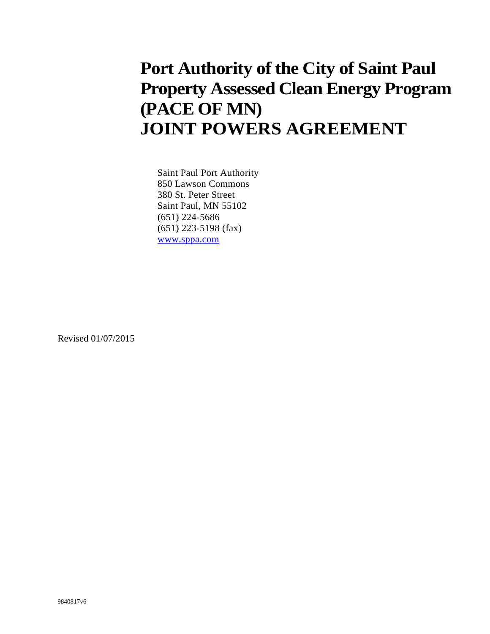## **Port Authority of the City of Saint Paul Property Assessed Clean Energy Program (PACE OF MN) JOINT POWERS AGREEMENT**

Saint Paul Port Authority 850 Lawson Commons 380 St. Peter Street Saint Paul, MN 55102 (651) 224-5686 (651) 223-5198 (fax) www.sppa.com

Revised 01/07/2015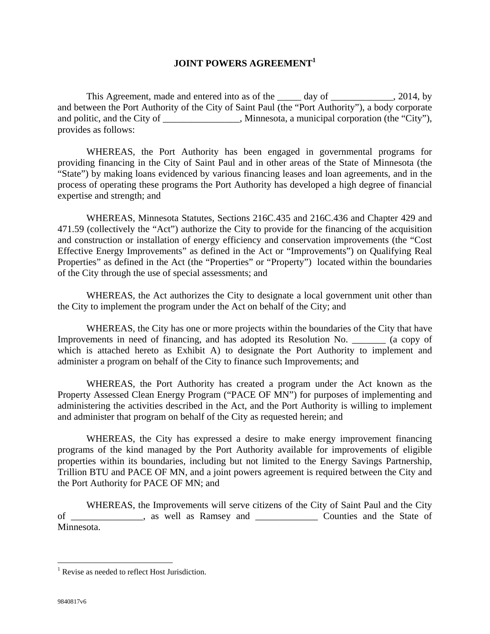## **JOINT POWERS AGREEMENT<sup>1</sup>**

This Agreement, made and entered into as of the \_\_\_\_\_ day of \_\_\_\_\_\_\_\_\_\_\_, 2014, by and between the Port Authority of the City of Saint Paul (the "Port Authority"), a body corporate and politic, and the City of \_\_\_\_\_\_\_\_\_\_\_\_, Minnesota, a municipal corporation (the "City"), provides as follows:

 WHEREAS, the Port Authority has been engaged in governmental programs for providing financing in the City of Saint Paul and in other areas of the State of Minnesota (the "State") by making loans evidenced by various financing leases and loan agreements, and in the process of operating these programs the Port Authority has developed a high degree of financial expertise and strength; and

 WHEREAS, Minnesota Statutes, Sections 216C.435 and 216C.436 and Chapter 429 and 471.59 (collectively the "Act") authorize the City to provide for the financing of the acquisition and construction or installation of energy efficiency and conservation improvements (the "Cost Effective Energy Improvements" as defined in the Act or "Improvements") on Qualifying Real Properties" as defined in the Act (the "Properties" or "Property") located within the boundaries of the City through the use of special assessments; and

 WHEREAS, the Act authorizes the City to designate a local government unit other than the City to implement the program under the Act on behalf of the City; and

 WHEREAS, the City has one or more projects within the boundaries of the City that have Improvements in need of financing, and has adopted its Resolution No. \_\_\_\_\_\_\_ (a copy of which is attached hereto as Exhibit A) to designate the Port Authority to implement and administer a program on behalf of the City to finance such Improvements; and

WHEREAS, the Port Authority has created a program under the Act known as the Property Assessed Clean Energy Program ("PACE OF MN") for purposes of implementing and administering the activities described in the Act, and the Port Authority is willing to implement and administer that program on behalf of the City as requested herein; and

WHEREAS, the City has expressed a desire to make energy improvement financing programs of the kind managed by the Port Authority available for improvements of eligible properties within its boundaries, including but not limited to the Energy Savings Partnership, Trillion BTU and PACE OF MN, and a joint powers agreement is required between the City and the Port Authority for PACE OF MN; and

 WHEREAS, the Improvements will serve citizens of the City of Saint Paul and the City of \_\_\_\_\_\_\_\_\_\_\_\_\_\_\_, as well as Ramsey and \_\_\_\_\_\_\_\_\_\_\_\_\_ Counties and the State of Minnesota.

 $\overline{a}$ 

<sup>&</sup>lt;sup>1</sup> Revise as needed to reflect Host Jurisdiction.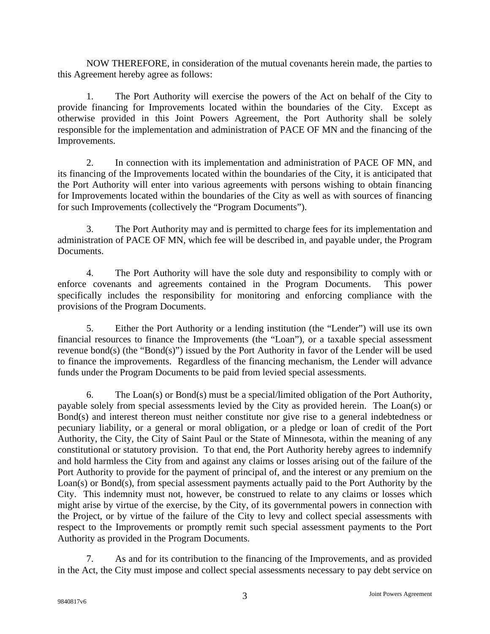NOW THEREFORE, in consideration of the mutual covenants herein made, the parties to this Agreement hereby agree as follows:

 1. The Port Authority will exercise the powers of the Act on behalf of the City to provide financing for Improvements located within the boundaries of the City. Except as otherwise provided in this Joint Powers Agreement, the Port Authority shall be solely responsible for the implementation and administration of PACE OF MN and the financing of the Improvements.

 2. In connection with its implementation and administration of PACE OF MN, and its financing of the Improvements located within the boundaries of the City, it is anticipated that the Port Authority will enter into various agreements with persons wishing to obtain financing for Improvements located within the boundaries of the City as well as with sources of financing for such Improvements (collectively the "Program Documents").

 3. The Port Authority may and is permitted to charge fees for its implementation and administration of PACE OF MN, which fee will be described in, and payable under, the Program Documents.

 4. The Port Authority will have the sole duty and responsibility to comply with or enforce covenants and agreements contained in the Program Documents. This power specifically includes the responsibility for monitoring and enforcing compliance with the provisions of the Program Documents.

 5. Either the Port Authority or a lending institution (the "Lender") will use its own financial resources to finance the Improvements (the "Loan"), or a taxable special assessment revenue bond(s) (the "Bond(s)") issued by the Port Authority in favor of the Lender will be used to finance the improvements. Regardless of the financing mechanism, the Lender will advance funds under the Program Documents to be paid from levied special assessments.

 6. The Loan(s) or Bond(s) must be a special/limited obligation of the Port Authority, payable solely from special assessments levied by the City as provided herein. The Loan(s) or Bond(s) and interest thereon must neither constitute nor give rise to a general indebtedness or pecuniary liability, or a general or moral obligation, or a pledge or loan of credit of the Port Authority, the City, the City of Saint Paul or the State of Minnesota, within the meaning of any constitutional or statutory provision. To that end, the Port Authority hereby agrees to indemnify and hold harmless the City from and against any claims or losses arising out of the failure of the Port Authority to provide for the payment of principal of, and the interest or any premium on the Loan(s) or Bond(s), from special assessment payments actually paid to the Port Authority by the City. This indemnity must not, however, be construed to relate to any claims or losses which might arise by virtue of the exercise, by the City, of its governmental powers in connection with the Project, or by virtue of the failure of the City to levy and collect special assessments with respect to the Improvements or promptly remit such special assessment payments to the Port Authority as provided in the Program Documents.

 7. As and for its contribution to the financing of the Improvements, and as provided in the Act, the City must impose and collect special assessments necessary to pay debt service on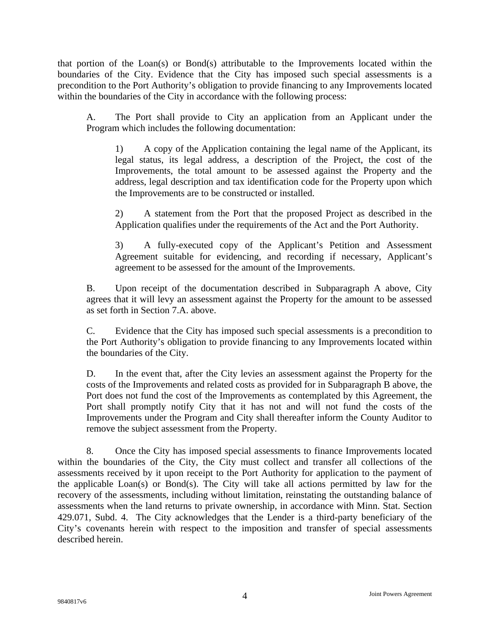that portion of the Loan(s) or Bond(s) attributable to the Improvements located within the boundaries of the City. Evidence that the City has imposed such special assessments is a precondition to the Port Authority's obligation to provide financing to any Improvements located within the boundaries of the City in accordance with the following process:

 A. The Port shall provide to City an application from an Applicant under the Program which includes the following documentation:

 1) A copy of the Application containing the legal name of the Applicant, its legal status, its legal address, a description of the Project, the cost of the Improvements, the total amount to be assessed against the Property and the address, legal description and tax identification code for the Property upon which the Improvements are to be constructed or installed.

 2) A statement from the Port that the proposed Project as described in the Application qualifies under the requirements of the Act and the Port Authority.

 3) A fully-executed copy of the Applicant's Petition and Assessment Agreement suitable for evidencing, and recording if necessary, Applicant's agreement to be assessed for the amount of the Improvements.

 B. Upon receipt of the documentation described in Subparagraph A above, City agrees that it will levy an assessment against the Property for the amount to be assessed as set forth in Section 7.A. above.

 C. Evidence that the City has imposed such special assessments is a precondition to the Port Authority's obligation to provide financing to any Improvements located within the boundaries of the City.

 D. In the event that, after the City levies an assessment against the Property for the costs of the Improvements and related costs as provided for in Subparagraph B above, the Port does not fund the cost of the Improvements as contemplated by this Agreement, the Port shall promptly notify City that it has not and will not fund the costs of the Improvements under the Program and City shall thereafter inform the County Auditor to remove the subject assessment from the Property.

 8. Once the City has imposed special assessments to finance Improvements located within the boundaries of the City, the City must collect and transfer all collections of the assessments received by it upon receipt to the Port Authority for application to the payment of the applicable Loan(s) or Bond(s). The City will take all actions permitted by law for the recovery of the assessments, including without limitation, reinstating the outstanding balance of assessments when the land returns to private ownership, in accordance with Minn. Stat. Section 429.071, Subd. 4. The City acknowledges that the Lender is a third-party beneficiary of the City's covenants herein with respect to the imposition and transfer of special assessments described herein.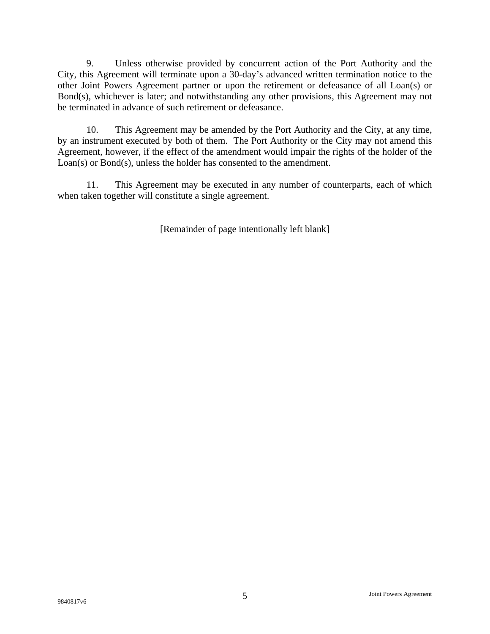9. Unless otherwise provided by concurrent action of the Port Authority and the City, this Agreement will terminate upon a 30-day's advanced written termination notice to the other Joint Powers Agreement partner or upon the retirement or defeasance of all Loan(s) or Bond(s), whichever is later; and notwithstanding any other provisions, this Agreement may not be terminated in advance of such retirement or defeasance.

 10. This Agreement may be amended by the Port Authority and the City, at any time, by an instrument executed by both of them. The Port Authority or the City may not amend this Agreement, however, if the effect of the amendment would impair the rights of the holder of the Loan(s) or Bond(s), unless the holder has consented to the amendment.

 11. This Agreement may be executed in any number of counterparts, each of which when taken together will constitute a single agreement.

[Remainder of page intentionally left blank]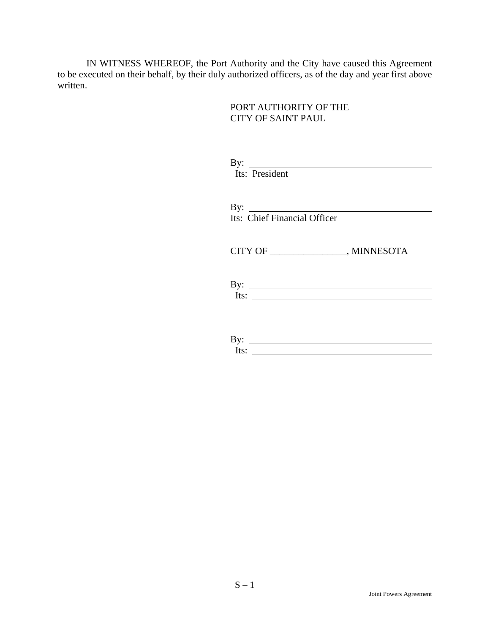IN WITNESS WHEREOF, the Port Authority and the City have caused this Agreement to be executed on their behalf, by their duly authorized officers, as of the day and year first above written.

> PORT AUTHORITY OF THE CITY OF SAINT PAUL

| By: $\qquad \qquad$<br>Its: President                                                             |
|---------------------------------------------------------------------------------------------------|
| By: $\qquad \qquad$<br>Its: Chief Financial Officer                                               |
| CITY OF _____________________, MINNESOTA                                                          |
| By: $\qquad \qquad$<br>Its: $\qquad \qquad$                                                       |
| By: $\qquad \qquad$<br>Its:<br><u> 1989 - Johann Barn, fransk politik forsk politik (d. 1989)</u> |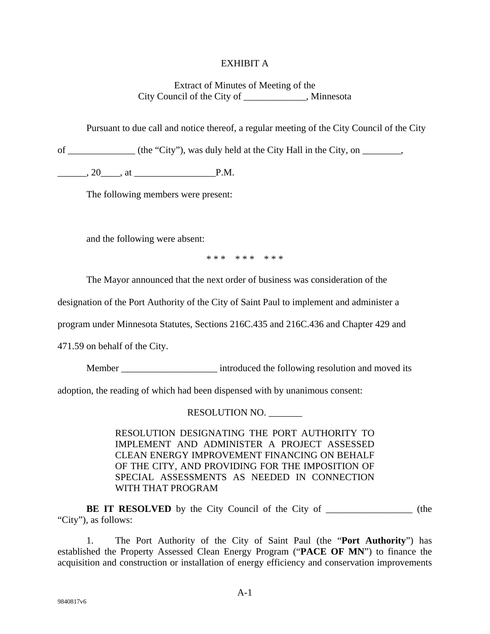## EXHIBIT A

Extract of Minutes of Meeting of the City Council of the City of \_\_\_\_\_\_\_\_\_\_\_\_\_, Minnesota

Pursuant to due call and notice thereof, a regular meeting of the City Council of the City

of \_\_\_\_\_\_\_\_\_\_\_\_\_\_ (the "City"), was duly held at the City Hall in the City, on \_\_\_\_\_\_\_\_,

 $, 20$   $, at$   $P.M.$ 

The following members were present:

and the following were absent:

\* \* \* \* \* \* \* \* \*

The Mayor announced that the next order of business was consideration of the

designation of the Port Authority of the City of Saint Paul to implement and administer a

program under Minnesota Statutes, Sections 216C.435 and 216C.436 and Chapter 429 and

471.59 on behalf of the City.

Member \_\_\_\_\_\_\_\_\_\_\_\_\_\_\_\_\_\_\_\_\_\_\_ introduced the following resolution and moved its

adoption, the reading of which had been dispensed with by unanimous consent:

RESOLUTION NO. \_\_\_\_\_\_\_

RESOLUTION DESIGNATING THE PORT AUTHORITY TO IMPLEMENT AND ADMINISTER A PROJECT ASSESSED CLEAN ENERGY IMPROVEMENT FINANCING ON BEHALF OF THE CITY, AND PROVIDING FOR THE IMPOSITION OF SPECIAL ASSESSMENTS AS NEEDED IN CONNECTION WITH THAT PROGRAM

**BE IT RESOLVED** by the City Council of the City of \_\_\_\_\_\_\_\_\_\_\_\_\_\_\_\_\_\_\_\_ (the "City"), as follows:

1. The Port Authority of the City of Saint Paul (the "**Port Authority**") has established the Property Assessed Clean Energy Program ("**PACE OF MN**") to finance the acquisition and construction or installation of energy efficiency and conservation improvements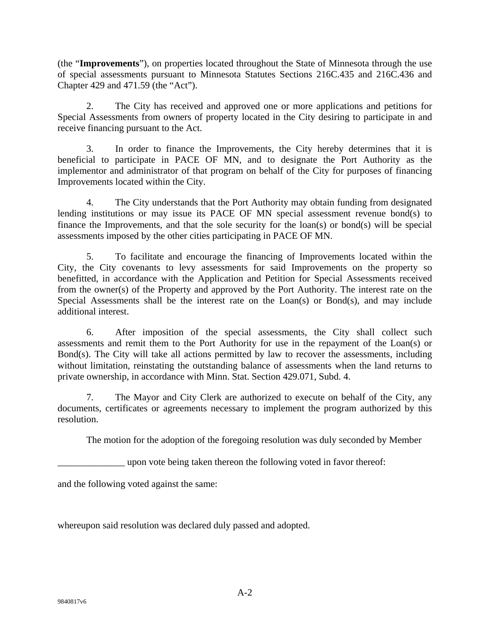(the "**Improvements**"), on properties located throughout the State of Minnesota through the use of special assessments pursuant to Minnesota Statutes Sections 216C.435 and 216C.436 and Chapter 429 and 471.59 (the "Act").

2. The City has received and approved one or more applications and petitions for Special Assessments from owners of property located in the City desiring to participate in and receive financing pursuant to the Act.

3. In order to finance the Improvements, the City hereby determines that it is beneficial to participate in PACE OF MN, and to designate the Port Authority as the implementor and administrator of that program on behalf of the City for purposes of financing Improvements located within the City.

4. The City understands that the Port Authority may obtain funding from designated lending institutions or may issue its PACE OF MN special assessment revenue bond(s) to finance the Improvements, and that the sole security for the loan(s) or bond(s) will be special assessments imposed by the other cities participating in PACE OF MN.

5. To facilitate and encourage the financing of Improvements located within the City, the City covenants to levy assessments for said Improvements on the property so benefitted, in accordance with the Application and Petition for Special Assessments received from the owner(s) of the Property and approved by the Port Authority. The interest rate on the Special Assessments shall be the interest rate on the Loan(s) or Bond(s), and may include additional interest.

6. After imposition of the special assessments, the City shall collect such assessments and remit them to the Port Authority for use in the repayment of the Loan(s) or Bond(s). The City will take all actions permitted by law to recover the assessments, including without limitation, reinstating the outstanding balance of assessments when the land returns to private ownership, in accordance with Minn. Stat. Section 429.071, Subd. 4.

 7. The Mayor and City Clerk are authorized to execute on behalf of the City, any documents, certificates or agreements necessary to implement the program authorized by this resolution.

The motion for the adoption of the foregoing resolution was duly seconded by Member

\_\_\_\_\_\_\_\_\_\_\_\_\_\_ upon vote being taken thereon the following voted in favor thereof:

and the following voted against the same:

whereupon said resolution was declared duly passed and adopted.